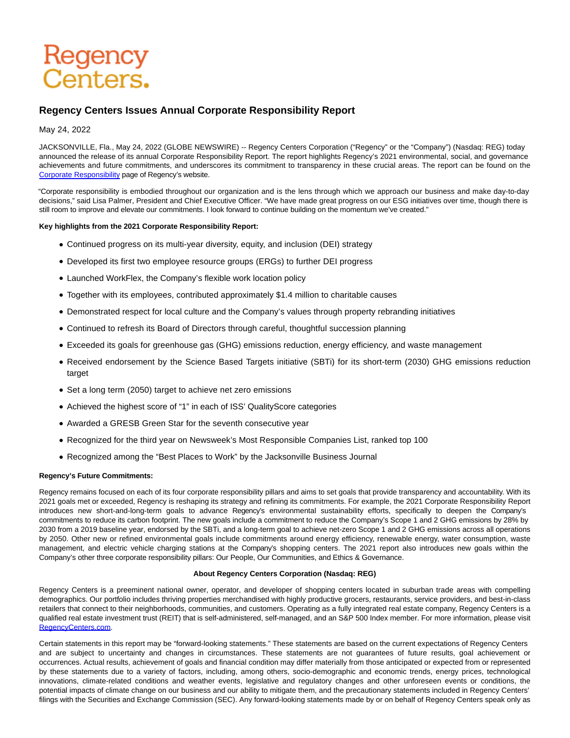# Regency Centers.

## **Regency Centers Issues Annual Corporate Responsibility Report**

May 24, 2022

JACKSONVILLE, Fla., May 24, 2022 (GLOBE NEWSWIRE) -- Regency Centers Corporation ("Regency" or the "Company") (Nasdaq: REG) today announced the release of its annual Corporate Responsibility Report. The report highlights Regency's 2021 environmental, social, and governance achievements and future commitments, and underscores its commitment to transparency in these crucial areas. The report can be found on the [Corporate Responsibility p](https://www.globenewswire.com/Tracker?data=fCS1qNchctd75OXxrr2Pm-rpmoZFAyeDdpKomweA2nX2Xt55lfQMHi3-pd0tzOfP96FRpwxB9D1tXSSAcc0iij2U70cRNipIBpX3TSS_lUc1-zJfcesZn_OiYHpuwIQghQCRcdw5syOm1-IaSH_eVw==)age of Regency's website.

"Corporate responsibility is embodied throughout our organization and is the lens through which we approach our business and make day-to-day decisions," said Lisa Palmer, President and Chief Executive Officer. "We have made great progress on our ESG initiatives over time, though there is still room to improve and elevate our commitments. I look forward to continue building on the momentum we've created."

#### **Key highlights from the 2021 Corporate Responsibility Report:**

- Continued progress on its multi-year diversity, equity, and inclusion (DEI) strategy
- Developed its first two employee resource groups (ERGs) to further DEI progress
- Launched WorkFlex, the Company's flexible work location policy
- Together with its employees, contributed approximately \$1.4 million to charitable causes
- Demonstrated respect for local culture and the Company's values through property rebranding initiatives
- Continued to refresh its Board of Directors through careful, thoughtful succession planning
- Exceeded its goals for greenhouse gas (GHG) emissions reduction, energy efficiency, and waste management
- Received endorsement by the Science Based Targets initiative (SBTi) for its short-term (2030) GHG emissions reduction target
- Set a long term (2050) target to achieve net zero emissions
- Achieved the highest score of "1" in each of ISS' QualityScore categories
- Awarded a GRESB Green Star for the seventh consecutive year
- Recognized for the third year on Newsweek's Most Responsible Companies List, ranked top 100
- Recognized among the "Best Places to Work" by the Jacksonville Business Journal

#### **Regency's Future Commitments:**

Regency remains focused on each of its four corporate responsibility pillars and aims to set goals that provide transparency and accountability. With its 2021 goals met or exceeded, Regency is reshaping its strategy and refining its commitments. For example, the 2021 Corporate Responsibility Report introduces new short-and-long-term goals to advance Regency's environmental sustainability efforts, specifically to deepen the Company's commitments to reduce its carbon footprint. The new goals include a commitment to reduce the Company's Scope 1 and 2 GHG emissions by 28% by 2030 from a 2019 baseline year, endorsed by the SBTi, and a long-term goal to achieve net-zero Scope 1 and 2 GHG emissions across all operations by 2050. Other new or refined environmental goals include commitments around energy efficiency, renewable energy, water consumption, waste management, and electric vehicle charging stations at the Company's shopping centers. The 2021 report also introduces new goals within the Company's other three corporate responsibility pillars: Our People, Our Communities, and Ethics & Governance.

### **About Regency Centers Corporation (Nasdaq: REG)**

Regency Centers is a preeminent national owner, operator, and developer of shopping centers located in suburban trade areas with compelling demographics. Our portfolio includes thriving properties merchandised with highly productive grocers, restaurants, service providers, and best-in-class retailers that connect to their neighborhoods, communities, and customers. Operating as a fully integrated real estate company, Regency Centers is a qualified real estate investment trust (REIT) that is self-administered, self-managed, and an S&P 500 Index member. For more information, please visit [RegencyCenters.com.](https://www.globenewswire.com/Tracker?data=9LgGcLFXgriVMwvYav7qA_ggLgxrw5HTniLnsCbIFVn1Lraxx1fAbbHaV4DRqyo7xhB5unHNHQKTJPniNPdpQeJPDZTbPmAuYPpZLtldPs4=)

Certain statements in this report may be "forward-looking statements." These statements are based on the current expectations of Regency Centers and are subject to uncertainty and changes in circumstances. These statements are not guarantees of future results, goal achievement or occurrences. Actual results, achievement of goals and financial condition may differ materially from those anticipated or expected from or represented by these statements due to a variety of factors, including, among others, socio-demographic and economic trends, energy prices, technological innovations, climate-related conditions and weather events, legislative and regulatory changes and other unforeseen events or conditions, the potential impacts of climate change on our business and our ability to mitigate them, and the precautionary statements included in Regency Centers' filings with the Securities and Exchange Commission (SEC). Any forward-looking statements made by or on behalf of Regency Centers speak only as